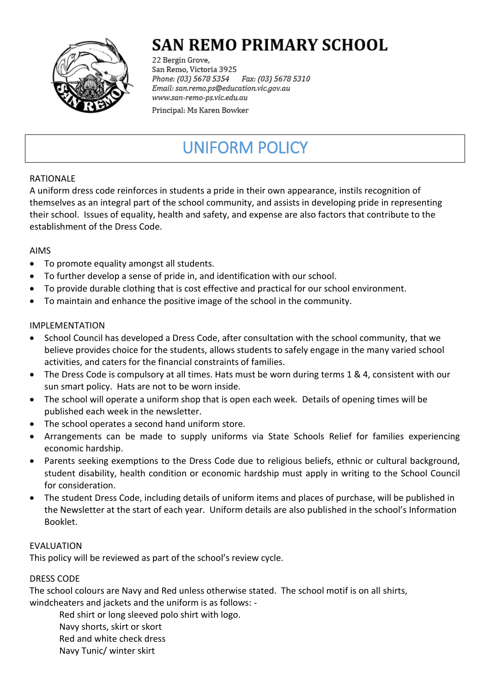

# **SAN REMO PRIMARY SCHOOL**

22 Bergin Grove, San Remo, Victoria 3925 Fax: (03) 5678 5310 Phone: (03) 5678 5354 Email: san.remo.ps@education.vic.gov.au www.san-remo-ps.vic.edu.au

Principal: Ms Karen Bowker

# UNIFORM POLICY

## RATIONALE

A uniform dress code reinforces in students a pride in their own appearance, instils recognition of themselves as an integral part of the school community, and assists in developing pride in representing their school. Issues of equality, health and safety, and expense are also factors that contribute to the establishment of the Dress Code.

## AIMS

- To promote equality amongst all students.
- To further develop a sense of pride in, and identification with our school.
- To provide durable clothing that is cost effective and practical for our school environment.
- To maintain and enhance the positive image of the school in the community.

#### IMPLEMENTATION

- School Council has developed a Dress Code, after consultation with the school community, that we believe provides choice for the students, allows students to safely engage in the many varied school activities, and caters for the financial constraints of families.
- The Dress Code is compulsory at all times. Hats must be worn during terms 1 & 4, consistent with our sun smart policy. Hats are not to be worn inside.
- The school will operate a uniform shop that is open each week. Details of opening times will be published each week in the newsletter.
- The school operates a second hand uniform store.
- Arrangements can be made to supply uniforms via State Schools Relief for families experiencing economic hardship.
- Parents seeking exemptions to the Dress Code due to religious beliefs, ethnic or cultural background, student disability, health condition or economic hardship must apply in writing to the School Council for consideration.
- The student Dress Code, including details of uniform items and places of purchase, will be published in the Newsletter at the start of each year. Uniform details are also published in the school's Information Booklet.

#### **FVALUATION**

This policy will be reviewed as part of the school's review cycle.

#### DRESS CODE

The school colours are Navy and Red unless otherwise stated. The school motif is on all shirts, windcheaters and jackets and the uniform is as follows: -

Red shirt or long sleeved polo shirt with logo.

- Navy shorts, skirt or skort
- Red and white check dress
- Navy Tunic/ winter skirt